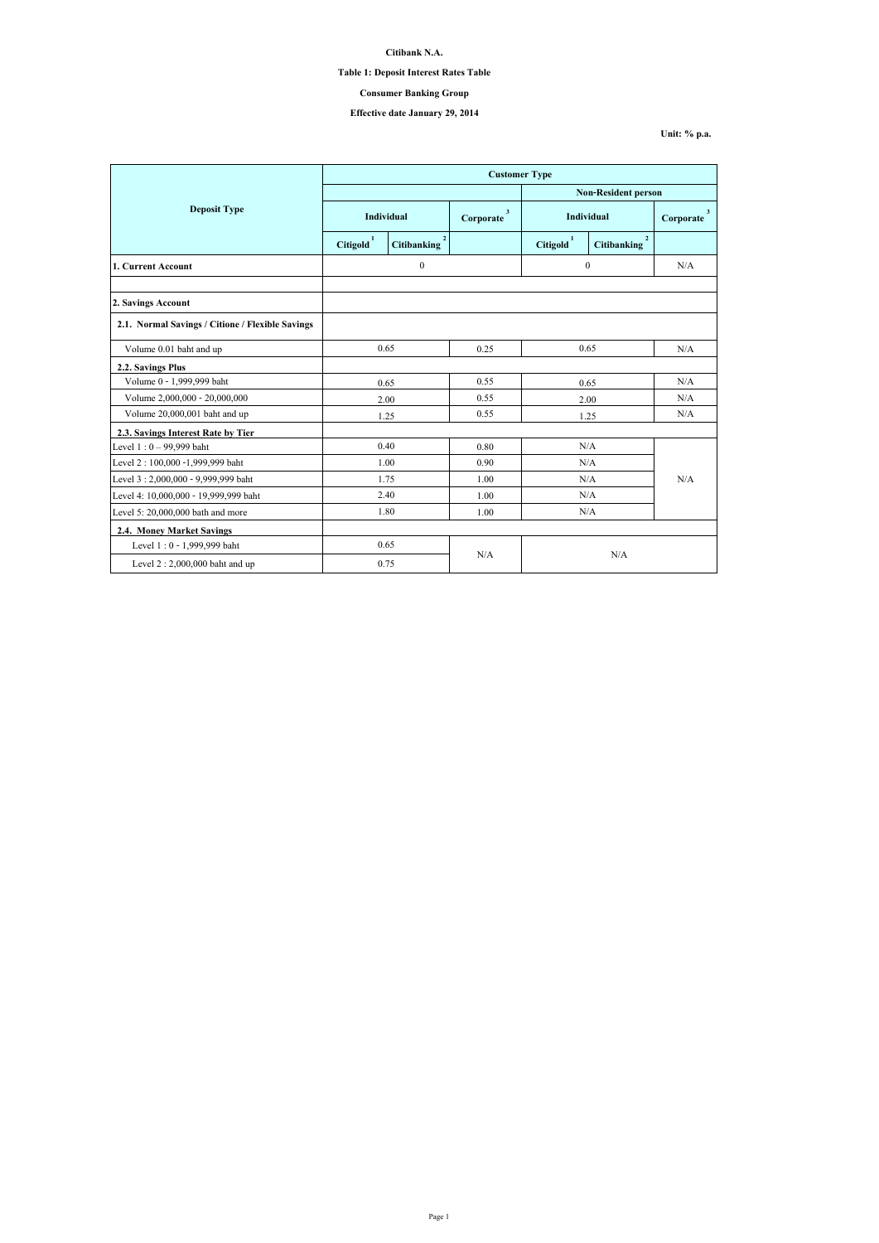|                                                  | <b>Customer Type</b> |                                      |                |                            |                                      |                           |  |
|--------------------------------------------------|----------------------|--------------------------------------|----------------|----------------------------|--------------------------------------|---------------------------|--|
|                                                  |                      |                                      |                | <b>Non-Resident person</b> |                                      |                           |  |
| <b>Deposit Type</b>                              | <b>Individual</b>    |                                      | 3<br>Corporate | <b>Individual</b>          |                                      | $\mathbf{3}$<br>Corporate |  |
|                                                  | <b>Citigold</b>      | $\overline{2}$<br><b>Citibanking</b> |                | Citigold <sup>1</sup>      | $\overline{2}$<br><b>Citibanking</b> |                           |  |
| 1. Current Account                               |                      | $\boldsymbol{0}$                     |                | $\mathbf{0}$               |                                      | N/A                       |  |
|                                                  |                      |                                      |                |                            |                                      |                           |  |
| 2. Savings Account                               |                      |                                      |                |                            |                                      |                           |  |
| 2.1. Normal Savings / Citione / Flexible Savings |                      |                                      |                |                            |                                      |                           |  |
| Volume 0.01 baht and up                          | 0.65                 |                                      | 0.25           | 0.65                       |                                      | N/A                       |  |
| 2.2. Savings Plus                                |                      |                                      |                |                            |                                      |                           |  |
| Volume 0 - 1,999,999 baht                        | 0.65                 |                                      | 0.55           | 0.65                       |                                      | N/A                       |  |
| Volume 2,000,000 - 20,000,000                    | 2.00                 |                                      | 0.55           | 2.00                       |                                      | N/A                       |  |
| Volume 20,000,001 baht and up                    |                      | 1.25                                 | 0.55           | 1.25                       |                                      | N/A                       |  |
| 2.3. Savings Interest Rate by Tier               |                      |                                      |                |                            |                                      |                           |  |
| Level $1:0 - 99,999$ baht                        | 0.40                 |                                      | 0.80           | N/A                        |                                      | N/A                       |  |
| Level 2:100,000 -1,999,999 baht                  |                      | 1.00                                 | 0.90           | N/A                        |                                      |                           |  |
| Level 3: 2,000,000 - 9,999,999 baht              |                      | 1.75                                 | 1.00           | N/A                        |                                      |                           |  |
| Level 4: 10,000,000 - 19,999,999 baht            |                      | 2.40                                 | 1.00           | N/A                        |                                      |                           |  |
| Level 5: $20,000,000$ bath and more              | 1.80                 |                                      | 1.00           | N/A                        |                                      |                           |  |
| <b>2.4. Money Market Savings</b>                 |                      |                                      |                |                            |                                      |                           |  |
| Level 1:0 - 1,999,999 baht                       |                      | 0.65                                 |                |                            |                                      |                           |  |
| Level $2:2,000,000$ baht and up                  | N/A<br>0.75          |                                      | N/A            |                            |                                      |                           |  |

**Citibank N.A.**

## **Table 1: Deposit Interest Rates Table**

# **Effective date January 29, 2014**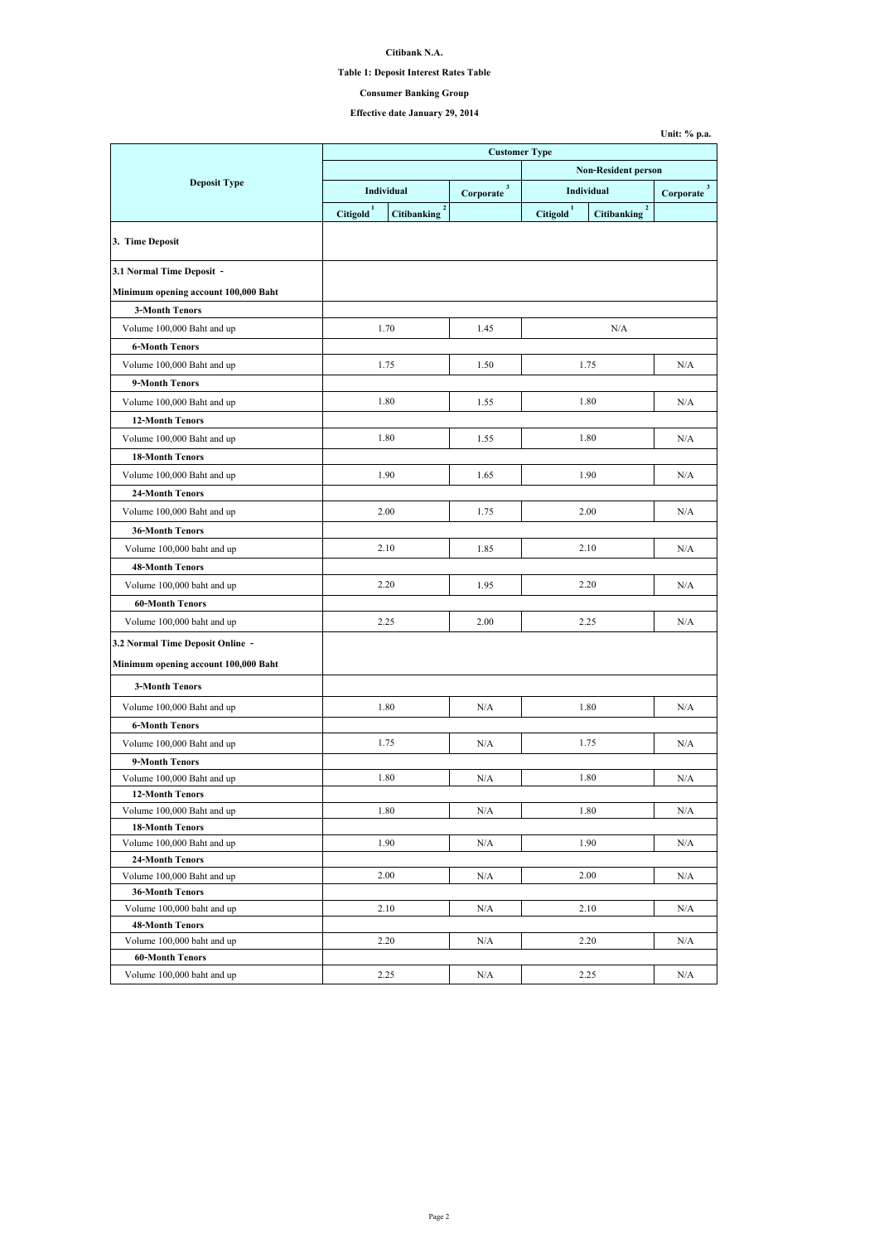## **Citibank N.A.**

# **Table 1: Deposit Interest Rates Table**

# **Effective date January 29, 2014**

|                                                      | <b>Customer Type</b>  |                                      |                             |                            |                                   |                          |  |
|------------------------------------------------------|-----------------------|--------------------------------------|-----------------------------|----------------------------|-----------------------------------|--------------------------|--|
|                                                      |                       |                                      |                             | <b>Non-Resident person</b> |                                   |                          |  |
| <b>Deposit Type</b>                                  | Individual            |                                      | 3 <sup>1</sup><br>Corporate | Individual                 |                                   | $3^{\circ}$<br>Corporate |  |
|                                                      | Citigold <sup>1</sup> | $\overline{2}$<br><b>Citibanking</b> |                             | Citigold <sup>1</sup>      | $2^{\circ}$<br><b>Citibanking</b> |                          |  |
| 3. Time Deposit                                      |                       |                                      |                             |                            |                                   |                          |  |
| 3.1 Normal Time Deposit -                            |                       |                                      |                             |                            |                                   |                          |  |
| Minimum opening account 100,000 Baht                 |                       |                                      |                             |                            |                                   |                          |  |
| <b>3-Month Tenors</b>                                |                       |                                      |                             |                            |                                   |                          |  |
| Volume 100,000 Baht and up                           |                       | 1.70                                 | 1.45                        |                            | N/A                               |                          |  |
| <b>6-Month Tenors</b>                                |                       |                                      |                             |                            |                                   |                          |  |
| Volume 100,000 Baht and up                           |                       | 1.75                                 | 1.50                        |                            | 1.75                              | N/A                      |  |
| 9-Month Tenors                                       |                       |                                      |                             |                            |                                   |                          |  |
| Volume 100,000 Baht and up                           |                       | 1.80                                 | 1.55                        |                            | 1.80                              | N/A                      |  |
| <b>12-Month Tenors</b>                               |                       |                                      |                             |                            |                                   |                          |  |
| Volume 100,000 Baht and up                           |                       | 1.80                                 | 1.55                        |                            | 1.80                              | N/A                      |  |
| <b>18-Month Tenors</b>                               |                       |                                      |                             |                            |                                   |                          |  |
| Volume 100,000 Baht and up                           |                       | 1.90                                 | 1.65                        |                            | 1.90                              | N/A                      |  |
| <b>24-Month Tenors</b>                               |                       |                                      |                             |                            |                                   |                          |  |
| Volume 100,000 Baht and up                           | 2.00                  |                                      | 1.75                        | 2.00                       |                                   | N/A                      |  |
| <b>36-Month Tenors</b>                               |                       |                                      |                             |                            |                                   |                          |  |
| Volume 100,000 baht and up                           | 2.10                  |                                      | 1.85                        | 2.10                       |                                   | N/A                      |  |
| <b>48-Month Tenors</b>                               |                       |                                      |                             |                            |                                   |                          |  |
| Volume 100,000 baht and up                           |                       | 2.20                                 | 1.95                        |                            | 2.20                              | N/A                      |  |
| <b>60-Month Tenors</b>                               |                       |                                      |                             |                            |                                   |                          |  |
| Volume 100,000 baht and up                           |                       | 2.25                                 | 2.00                        |                            | 2.25                              | N/A                      |  |
|                                                      |                       |                                      |                             |                            |                                   |                          |  |
| 3.2 Normal Time Deposit Online -                     |                       |                                      |                             |                            |                                   |                          |  |
| Minimum opening account 100,000 Baht                 |                       |                                      |                             |                            |                                   |                          |  |
| <b>3-Month Tenors</b>                                |                       |                                      |                             |                            |                                   |                          |  |
| Volume 100,000 Baht and up                           |                       | 1.80                                 | N/A                         |                            | 1.80                              | N/A                      |  |
| <b>6-Month Tenors</b>                                |                       |                                      |                             |                            |                                   |                          |  |
| Volume 100,000 Baht and up                           |                       | 1.75                                 | N/A                         |                            | 1.75                              | N/A                      |  |
| 9-Month Tenors                                       |                       |                                      |                             |                            |                                   |                          |  |
| Volume 100,000 Baht and up                           |                       | 1.80                                 | N/A                         |                            | 1.80                              | N/A                      |  |
| <b>12-Month Tenors</b>                               |                       |                                      |                             |                            |                                   |                          |  |
| Volume 100,000 Baht and up                           |                       | 1.80                                 | N/A                         |                            | 1.80                              | N/A                      |  |
| <b>18-Month Tenors</b>                               |                       |                                      |                             |                            |                                   |                          |  |
| Volume 100,000 Baht and up<br><b>24-Month Tenors</b> |                       | 1.90                                 | N/A                         | 1.90                       |                                   | N/A                      |  |
| Volume 100,000 Baht and up                           |                       | 2.00                                 | N/A                         |                            | 2.00                              | N/A                      |  |
| <b>36-Month Tenors</b>                               |                       |                                      |                             |                            |                                   |                          |  |
| Volume 100,000 baht and up                           |                       | 2.10                                 | N/A                         |                            | 2.10                              | N/A                      |  |
| <b>48-Month Tenors</b>                               |                       |                                      |                             |                            |                                   |                          |  |
| Volume 100,000 baht and up                           |                       | 2.20                                 | N/A                         |                            | 2.20                              | N/A                      |  |
| <b>60-Month Tenors</b>                               |                       |                                      |                             |                            |                                   |                          |  |
| Volume 100,000 baht and up                           |                       | 2.25                                 | N/A                         |                            | 2.25                              | N/A                      |  |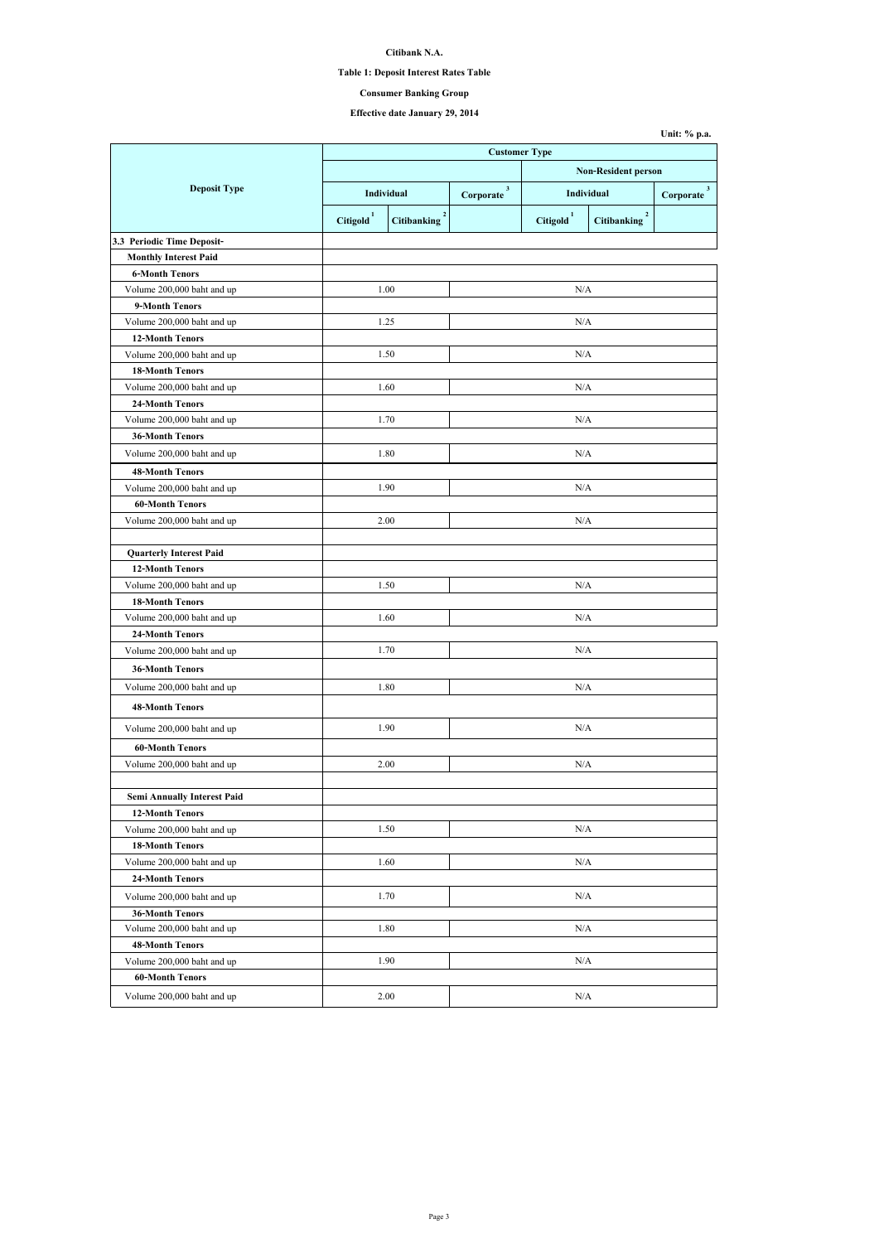# **Citibank N.A.**

## **Table 1: Deposit Interest Rates Table**

# **Effective date January 29, 2014**

|                                    |                       |                    | <b>Customer Type</b>       |                       |                                      |                           |  |  |
|------------------------------------|-----------------------|--------------------|----------------------------|-----------------------|--------------------------------------|---------------------------|--|--|
|                                    |                       |                    | <b>Non-Resident person</b> |                       |                                      |                           |  |  |
| <b>Deposit Type</b>                | Individual            |                    | $\mathbf{3}$<br>Corporate  | <b>Individual</b>     |                                      | $\mathbf{3}$<br>Corporate |  |  |
|                                    | Citigold <sup>1</sup> | <b>Citibanking</b> |                            | Citigold <sup>1</sup> | $\overline{2}$<br><b>Citibanking</b> |                           |  |  |
| 3.3 Periodic Time Deposit-         |                       |                    |                            |                       |                                      |                           |  |  |
| <b>Monthly Interest Paid</b>       |                       |                    |                            |                       |                                      |                           |  |  |
| <b>6-Month Tenors</b>              |                       |                    |                            |                       |                                      |                           |  |  |
| Volume 200,000 baht and up         |                       | 1.00               |                            | N/A                   |                                      |                           |  |  |
| 9-Month Tenors                     |                       |                    |                            |                       |                                      |                           |  |  |
| Volume 200,000 baht and up         |                       | 1.25               |                            | N/A                   |                                      |                           |  |  |
| <b>12-Month Tenors</b>             |                       |                    |                            |                       |                                      |                           |  |  |
| Volume 200,000 baht and up         |                       | 1.50               |                            | N/A                   |                                      |                           |  |  |
| <b>18-Month Tenors</b>             |                       |                    |                            |                       |                                      |                           |  |  |
| Volume 200,000 baht and up         |                       | 1.60               |                            | N/A                   |                                      |                           |  |  |
| <b>24-Month Tenors</b>             |                       |                    |                            |                       |                                      |                           |  |  |
| Volume 200,000 baht and up         |                       | 1.70               |                            | N/A                   |                                      |                           |  |  |
| <b>36-Month Tenors</b>             |                       |                    |                            |                       |                                      |                           |  |  |
| Volume 200,000 baht and up         |                       | 1.80               |                            | N/A                   |                                      |                           |  |  |
| <b>48-Month Tenors</b>             |                       |                    |                            |                       |                                      |                           |  |  |
| Volume 200,000 baht and up         |                       | 1.90               |                            | N/A                   |                                      |                           |  |  |
| <b>60-Month Tenors</b>             |                       |                    |                            |                       |                                      |                           |  |  |
| Volume 200,000 baht and up         |                       | 2.00               |                            | N/A                   |                                      |                           |  |  |
| <b>Quarterly Interest Paid</b>     |                       |                    |                            |                       |                                      |                           |  |  |
| <b>12-Month Tenors</b>             |                       |                    |                            |                       |                                      |                           |  |  |
| Volume 200,000 baht and up         |                       | 1.50               |                            | N/A                   |                                      |                           |  |  |
| <b>18-Month Tenors</b>             |                       |                    |                            |                       |                                      |                           |  |  |
| Volume 200,000 baht and up         |                       | 1.60               |                            | N/A                   |                                      |                           |  |  |
| <b>24-Month Tenors</b>             |                       |                    |                            |                       |                                      |                           |  |  |
| Volume 200,000 baht and up         |                       | 1.70               |                            | N/A                   |                                      |                           |  |  |
| <b>36-Month Tenors</b>             |                       |                    |                            |                       |                                      |                           |  |  |
|                                    |                       |                    |                            |                       |                                      |                           |  |  |
| Volume 200,000 baht and up         |                       | 1.80               |                            | N/A                   |                                      |                           |  |  |
| <b>48-Month Tenors</b>             |                       |                    |                            |                       |                                      |                           |  |  |
| Volume 200,000 baht and up         |                       | 1.90               |                            | N/A                   |                                      |                           |  |  |
| <b>60-Month Tenors</b>             |                       |                    |                            |                       |                                      |                           |  |  |
| Volume 200,000 baht and up         |                       | 2.00               |                            | N/A                   |                                      |                           |  |  |
|                                    |                       |                    |                            |                       |                                      |                           |  |  |
| <b>Semi Annually Interest Paid</b> |                       |                    |                            |                       |                                      |                           |  |  |
| <b>12-Month Tenors</b>             |                       |                    |                            |                       |                                      |                           |  |  |
| Volume 200,000 baht and up         |                       | 1.50               |                            | N/A                   |                                      |                           |  |  |
| <b>18-Month Tenors</b>             |                       |                    |                            |                       |                                      |                           |  |  |
| Volume 200,000 baht and up         |                       | 1.60               |                            | N/A                   |                                      |                           |  |  |
| <b>24-Month Tenors</b>             |                       |                    |                            |                       |                                      |                           |  |  |
| Volume 200,000 baht and up         |                       | 1.70               | N/A                        |                       |                                      |                           |  |  |
| <b>36-Month Tenors</b>             |                       |                    |                            |                       |                                      |                           |  |  |
| Volume 200,000 baht and up         |                       | 1.80               |                            | N/A                   |                                      |                           |  |  |
| <b>48-Month Tenors</b>             |                       |                    |                            |                       |                                      |                           |  |  |
| Volume 200,000 baht and up         |                       | 1.90               |                            | N/A                   |                                      |                           |  |  |
| <b>60-Month Tenors</b>             |                       |                    |                            |                       |                                      |                           |  |  |
| Volume 200,000 baht and up         |                       | 2.00               |                            | N/A                   |                                      |                           |  |  |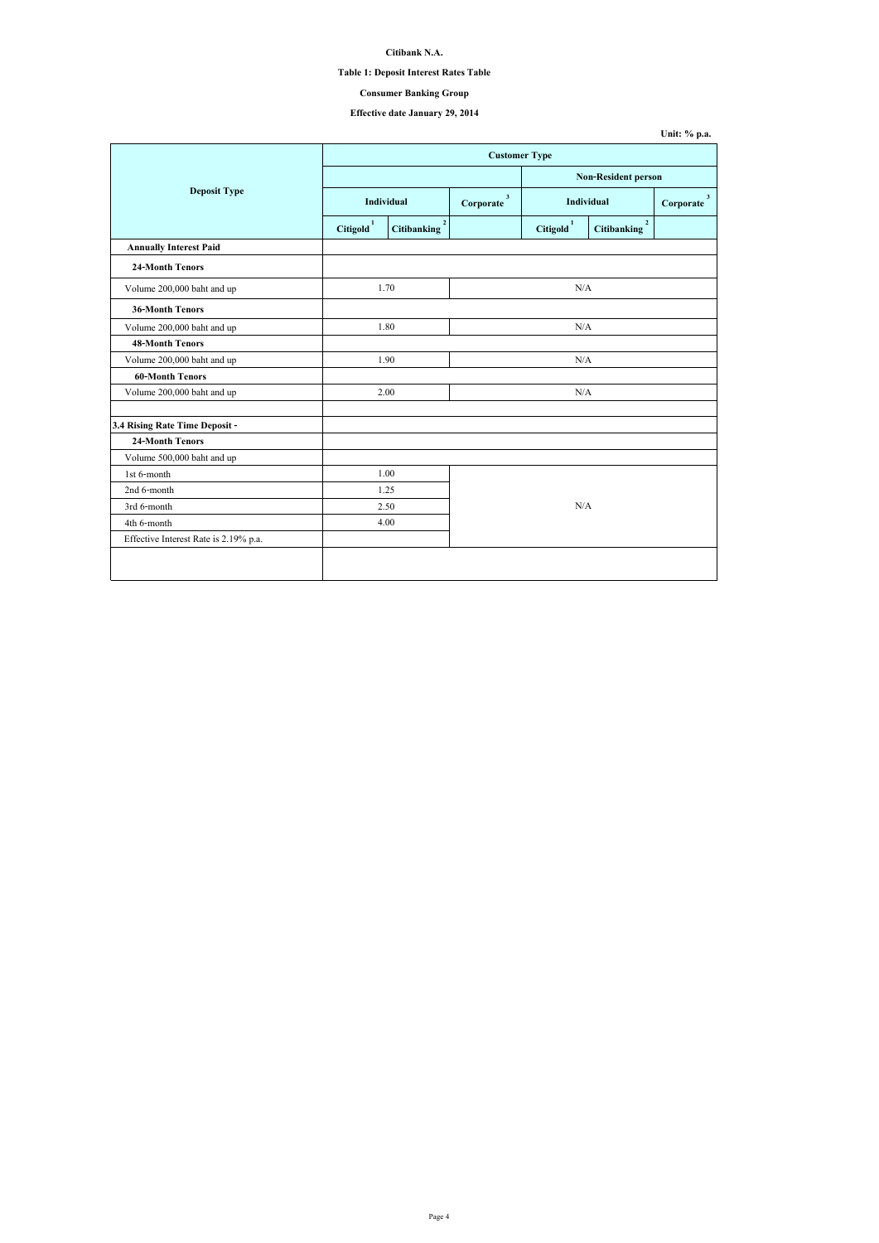| Unit: $\%$ p.a. |  |  |
|-----------------|--|--|
|-----------------|--|--|

## **Citibank N.A.**

# **Table 1: Deposit Interest Rates Table**

# **Effective date January 29, 2014**

|                                       | <b>Customer Type</b>  |                                      |     |                                                |                                   |                           |
|---------------------------------------|-----------------------|--------------------------------------|-----|------------------------------------------------|-----------------------------------|---------------------------|
|                                       |                       | <b>Non-Resident person</b>           |     |                                                |                                   |                           |
| <b>Deposit Type</b>                   |                       | <b>Individual</b>                    |     | $\mathbf{3}$<br><b>Individual</b><br>Corporate |                                   | $\mathbf{3}$<br>Corporate |
|                                       | Citigold <sup>1</sup> | $\overline{2}$<br><b>Citibanking</b> |     | Citigold <sup>1</sup>                          | $\mathbf 2$<br><b>Citibanking</b> |                           |
| <b>Annually Interest Paid</b>         |                       |                                      |     |                                                |                                   |                           |
| <b>24-Month Tenors</b>                |                       |                                      |     |                                                |                                   |                           |
| Volume 200,000 baht and up            |                       | 1.70                                 |     | N/A                                            |                                   |                           |
| <b>36-Month Tenors</b>                |                       |                                      |     |                                                |                                   |                           |
| Volume 200,000 baht and up            |                       | 1.80                                 |     | N/A                                            |                                   |                           |
| <b>48-Month Tenors</b>                |                       |                                      |     |                                                |                                   |                           |
| Volume 200,000 baht and up            |                       | 1.90                                 |     | N/A                                            |                                   |                           |
| <b>60-Month Tenors</b>                |                       |                                      |     |                                                |                                   |                           |
| Volume 200,000 baht and up            |                       | 2.00                                 | N/A |                                                |                                   |                           |
| 3.4 Rising Rate Time Deposit -        |                       |                                      |     |                                                |                                   |                           |
| <b>24-Month Tenors</b>                |                       |                                      |     |                                                |                                   |                           |
| Volume 500,000 baht and up            |                       |                                      |     |                                                |                                   |                           |
| 1st 6-month                           |                       | 1.00                                 |     |                                                |                                   |                           |
| 2nd 6-month                           |                       | 1.25                                 |     |                                                |                                   |                           |
| 3rd 6-month                           |                       | 2.50                                 | N/A |                                                |                                   |                           |
| 4th 6-month                           |                       | 4.00                                 |     |                                                |                                   |                           |
| Effective Interest Rate is 2.19% p.a. |                       |                                      |     |                                                |                                   |                           |
|                                       |                       |                                      |     |                                                |                                   |                           |
|                                       |                       |                                      |     |                                                |                                   |                           |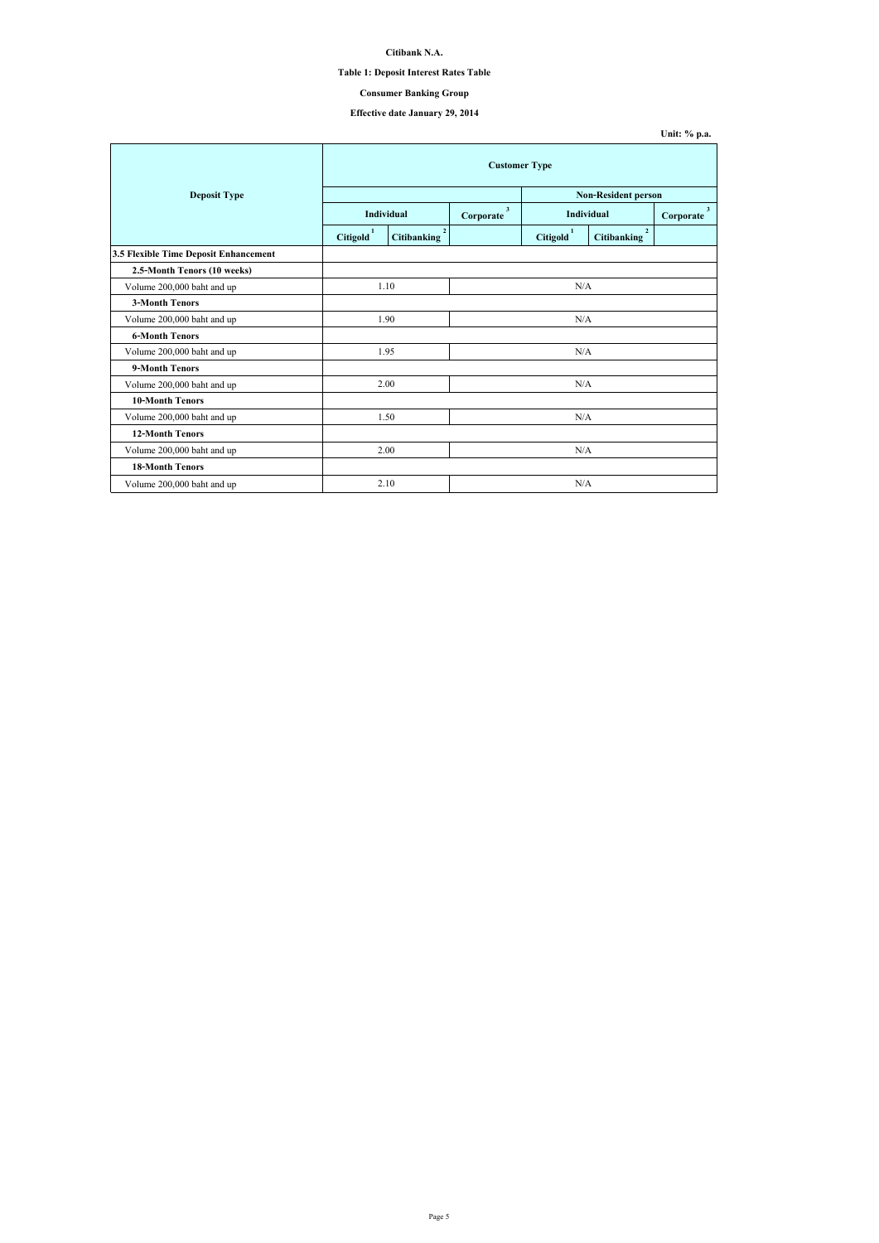# **Citibank N.A.**

## **Table 1: Deposit Interest Rates Table**

# **Effective date January 29, 2014**

|                                       | <b>Customer Type</b>  |                                      |                           |                       |                                      |                           |  |
|---------------------------------------|-----------------------|--------------------------------------|---------------------------|-----------------------|--------------------------------------|---------------------------|--|
| <b>Deposit Type</b>                   |                       | <b>Non-Resident person</b>           |                           |                       |                                      |                           |  |
|                                       |                       | Individual                           | $\mathbf{3}$<br>Corporate |                       | <b>Individual</b>                    | $\mathbf{3}$<br>Corporate |  |
|                                       | Citigold <sup>1</sup> | $\overline{2}$<br><b>Citibanking</b> |                           | Citigold <sup>1</sup> | $\overline{2}$<br><b>Citibanking</b> |                           |  |
| 3.5 Flexible Time Deposit Enhancement |                       |                                      |                           |                       |                                      |                           |  |
| 2.5-Month Tenors (10 weeks)           |                       |                                      |                           |                       |                                      |                           |  |
| Volume 200,000 baht and up            |                       | 1.10                                 | N/A                       |                       |                                      |                           |  |
| <b>3-Month Tenors</b>                 |                       |                                      |                           |                       |                                      |                           |  |
| Volume 200,000 baht and up            | 1.90                  |                                      | N/A                       |                       |                                      |                           |  |
| <b>6-Month Tenors</b>                 |                       |                                      |                           |                       |                                      |                           |  |
| Volume 200,000 baht and up            | 1.95                  |                                      | N/A                       |                       |                                      |                           |  |
| 9-Month Tenors                        |                       |                                      |                           |                       |                                      |                           |  |
| Volume 200,000 baht and up            |                       | 2.00                                 |                           | N/A                   |                                      |                           |  |
| <b>10-Month Tenors</b>                |                       |                                      |                           |                       |                                      |                           |  |
| Volume 200,000 baht and up            | 1.50                  |                                      | N/A                       |                       |                                      |                           |  |
| <b>12-Month Tenors</b>                |                       |                                      |                           |                       |                                      |                           |  |
| Volume 200,000 baht and up            |                       | 2.00                                 | N/A                       |                       |                                      |                           |  |
| <b>18-Month Tenors</b>                |                       |                                      |                           |                       |                                      |                           |  |
| Volume 200,000 baht and up            |                       | 2.10                                 |                           | N/A                   |                                      |                           |  |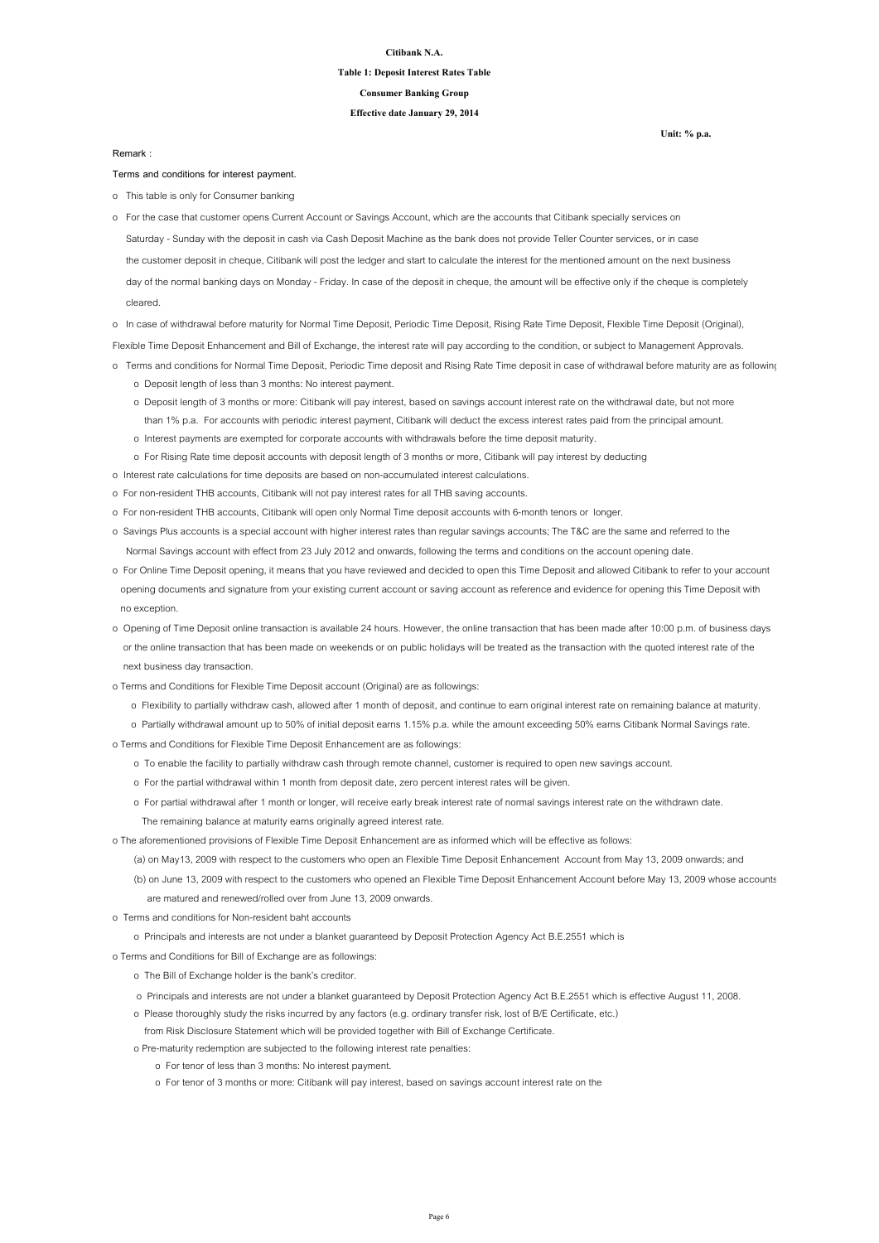#### **Citibank N.A.**

### **Table 1: Deposit Interest Rates Table**

**Effective date January 29, 2014**

**Consumer Banking Group**

**Terms and conditions for interest payment.**

o This table is only for Consumer banking

- Saturday Sunday with the deposit in cash via Cash Deposit Machine as the bank does not provide Teller Counter services, or in case the customer deposit in cheque, Citibank will post the ledger and start to calculate the interest for the mentioned amount on the next business day of the normal banking days on Monday - Friday. In case of the deposit in cheque, the amount will be effective only if the cheque is completely cleared. o For the case that customer opens Current Account or Savings Account, which are the accounts that Citibank specially services on
- o In case of withdrawal before maturity for Normal Time Deposit, Periodic Time Deposit, Rising Rate Time Deposit, Flexible Time Deposit (Original),

Flexible Time Deposit Enhancement and Bill of Exchange, the interest rate will pay according to the condition, or subject to Management Approvals.

- o Terms and conditions for Normal Time Deposit, Periodic Time deposit and Rising Rate Time deposit in case of withdrawal before maturity are as following
	- o Deposit length of less than 3 months: No interest payment.
	- o Deposit length of 3 months or more: Citibank will pay interest, based on savings account interest rate on the withdrawal date, but not more than 1% p.a. For accounts with periodic interest payment, Citibank will deduct the excess interest rates paid from the principal amount.
	- o Interest payments are exempted for corporate accounts with withdrawals before the time deposit maturity.
	- o For Rising Rate time deposit accounts with deposit length of 3 months or more, Citibank will pay interest by deducting
- o Interest rate calculations for time deposits are based on non-accumulated interest calculations.
- o For non-resident THB accounts, Citibank will not pay interest rates for all THB saving accounts.
- o For non-resident THB accounts, Citibank will open only Normal Time deposit accounts with 6-month tenors or longer.
- o Savings Plus accounts is a special account with higher interest rates than regular savings accounts; The T&C are the same and referred to the Normal Savings account with effect from 23 July 2012 and onwards, following the terms and conditions on the account opening date.
- o For Online Time Deposit opening, it means that you have reviewed and decided to open this Time Deposit and allowed Citibank to refer to your account opening documents and signature from your existing current account or saving account as reference and evidence for opening this Time Deposit with no exception.
- o Opening of Time Deposit online transaction is available 24 hours. However, the online transaction that has been made after 10:00 p.m. of business days or the online transaction that has been made on weekends or on public holidays will be treated as the transaction with the quoted interest rate of the

next business day transaction.

- o Terms and Conditions for Flexible Time Deposit account (Original) are as followings:
	- o Flexibility to partially withdraw cash, allowed after 1 month of deposit, and continue to earn original interest rate on remaining balance at maturity.
	- o Partially withdrawal amount up to 50% of initial deposit earns 1.15% p.a. while the amount exceeding 50% earns Citibank Normal Savings rate.
- o Terms and Conditions for Flexible Time Deposit Enhancement are as followings:
	- o To enable the facility to partially withdraw cash through remote channel, customer is required to open new savings account.
	- o For the partial withdrawal within 1 month from deposit date, zero percent interest rates will be given.
	- o For partial withdrawal after 1 month or longer, will receive early break interest rate of normal savings interest rate on the withdrawn date.
		- The remaining balance at maturity earns originally agreed interest rate.
- o The aforementioned provisions of Flexible Time Deposit Enhancement are as informed which will be effective as follows:
	- (a) on May13, 2009 with respect to the customers who open an Flexible Time Deposit Enhancement Account from May 13, 2009 onwards; and
	- (b) on June 13, 2009 with respect to the customers who opened an Flexible Time Deposit Enhancement Account before May 13, 2009 whose accounts are matured and renewed/rolled over from June 13, 2009 onwards.
- o Terms and conditions for Non-resident baht accounts
	- o Principals and interests are not under a blanket guaranteed by Deposit Protection Agency Act B.E.2551 which is
- o Terms and Conditions for Bill of Exchange are as followings:
	- o The Bill of Exchange holder is the bank's creditor.
	- o Principals and interests are not under a blanket guaranteed by Deposit Protection Agency Act B.E.2551 which is effective August 11, 2008.
	- o Please thoroughly study the risks incurred by any factors (e.g. ordinary transfer risk, lost of B/E Certificate, etc.)
	- from Risk Disclosure Statement which will be provided together with Bill of Exchange Certificate.
	- o Pre-maturity redemption are subjected to the following interest rate penalties:
		- o For tenor of less than 3 months: No interest payment.
		- o For tenor of 3 months or more: Citibank will pay interest, based on savings account interest rate on the

**Remark :**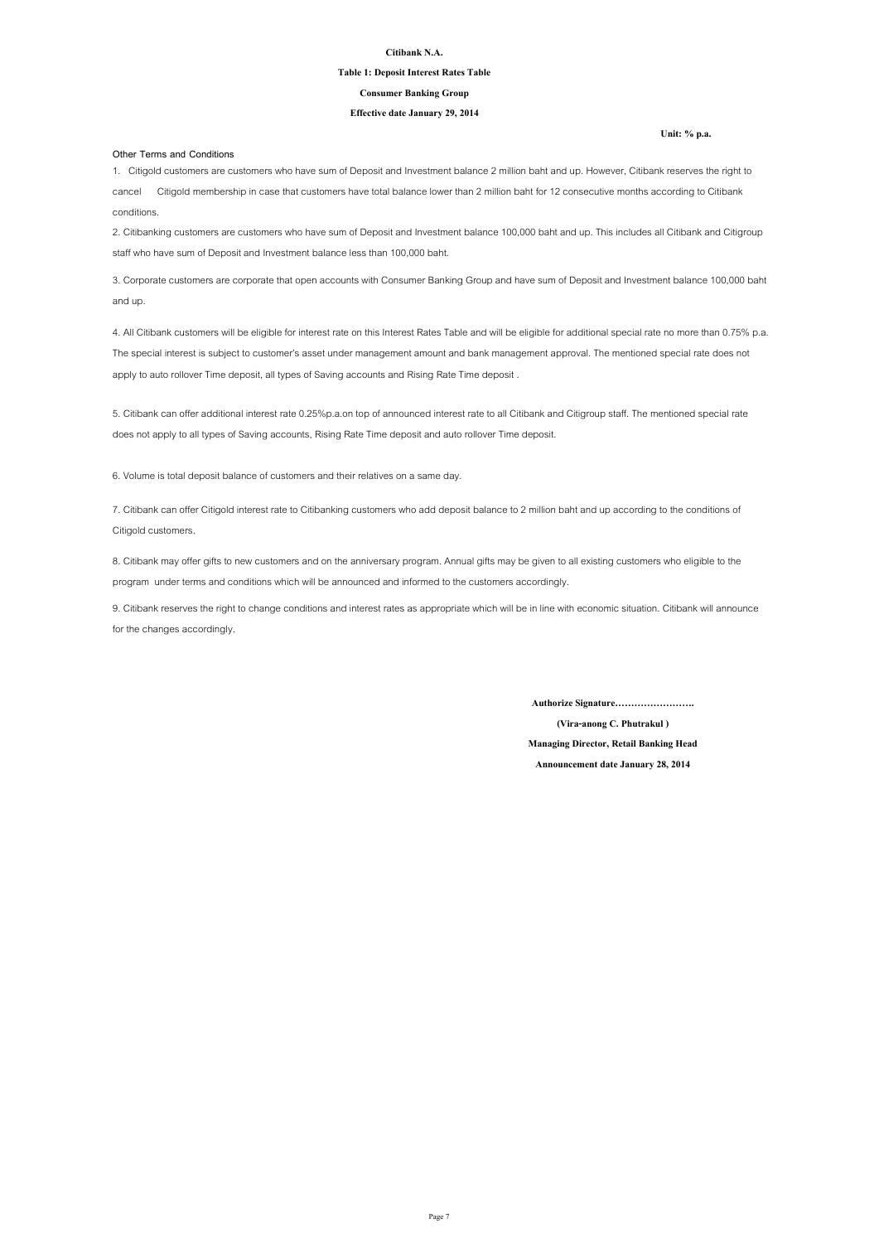#### **Citibank N.A.**

### **Table 1: Deposit Interest Rates Table**

#### **Effective date January 29, 2014**

#### **Consumer Banking Group**

### **Other Terms and Conditions**

**Announcement date January 28, 2014**

**(Vira-anong C. Phutrakul )**

**Managing Director, Retail Banking Head**

**Authorize Signature…………………….**

8. Citibank may offer gifts to new customers and on the anniversary program. Annual gifts may be given to all existing customers who eligible to the program under terms and conditions which will be announced and informed to the customers accordingly.

9. Citibank reserves the right to change conditions and interest rates as appropriate which will be in line with economic situation. Citibank will announce for the changes accordingly.

1. Citigold customers are customers who have sum of Deposit and Investment balance 2 million baht and up. However, Citibank reserves the right to cancel Citigold membership in case that customers have total balance lower than 2 million baht for 12 consecutive months according to Citibank conditions.

2. Citibanking customers are customers who have sum of Deposit and Investment balance 100,000 baht and up. This includes all Citibank and Citigroup staff who have sum of Deposit and Investment balance less than 100,000 baht.

3. Corporate customers are corporate that open accounts with Consumer Banking Group and have sum of Deposit and Investment balance 100,000 baht and up.

4. All Citibank customers will be eligible for interest rate on this Interest Rates Table and will be eligible for additional special rate no more than 0.75% p.a. The special interest is subject to customer's asset under management amount and bank management approval. The mentioned special rate does not apply to auto rollover Time deposit, all types of Saving accounts and Rising Rate Time deposit .

5. Citibank can offer additional interest rate 0.25%p.a.on top of announced interest rate to all Citibank and Citigroup staff. The mentioned special rate does not apply to all types of Saving accounts, Rising Rate Time deposit and auto rollover Time deposit.

7. Citibank can offer Citigold interest rate to Citibanking customers who add deposit balance to 2 million baht and up according to the conditions of Citigold customers.

6. Volume is total deposit balance of customers and their relatives on a same day.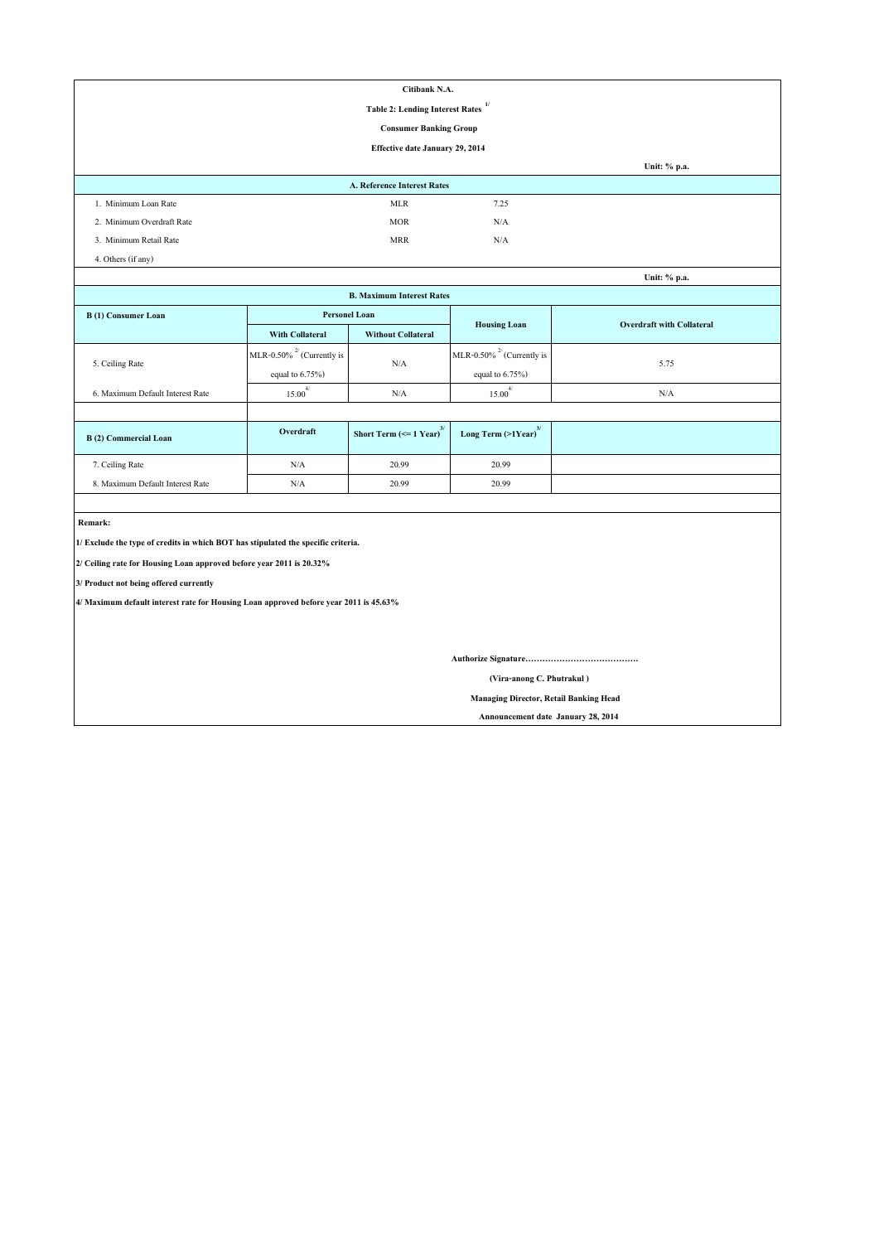| Citibank N.A.                                                                         |                                        |                                               |                                     |                                  |  |  |  |  |  |  |
|---------------------------------------------------------------------------------------|----------------------------------------|-----------------------------------------------|-------------------------------------|----------------------------------|--|--|--|--|--|--|
| 1/<br><b>Table 2: Lending Interest Rates</b>                                          |                                        |                                               |                                     |                                  |  |  |  |  |  |  |
| <b>Consumer Banking Group</b>                                                         |                                        |                                               |                                     |                                  |  |  |  |  |  |  |
|                                                                                       | <b>Effective date January 29, 2014</b> |                                               |                                     |                                  |  |  |  |  |  |  |
|                                                                                       |                                        |                                               |                                     | Unit: % p.a.                     |  |  |  |  |  |  |
|                                                                                       |                                        | A. Reference Interest Rates                   |                                     |                                  |  |  |  |  |  |  |
| 1. Minimum Loan Rate                                                                  |                                        | <b>MLR</b>                                    | 7.25                                |                                  |  |  |  |  |  |  |
| 2. Minimum Overdraft Rate                                                             |                                        | <b>MOR</b>                                    | N/A                                 |                                  |  |  |  |  |  |  |
| 3. Minimum Retail Rate                                                                |                                        | <b>MRR</b>                                    | N/A                                 |                                  |  |  |  |  |  |  |
| 4. Others (if any)                                                                    |                                        |                                               |                                     |                                  |  |  |  |  |  |  |
|                                                                                       |                                        |                                               |                                     | Unit: % p.a.                     |  |  |  |  |  |  |
|                                                                                       |                                        | <b>B. Maximum Interest Rates</b>              |                                     |                                  |  |  |  |  |  |  |
| <b>B</b> (1) Consumer Loan                                                            | <b>Personel Loan</b>                   |                                               | <b>Housing Loan</b>                 | <b>Overdraft with Collateral</b> |  |  |  |  |  |  |
|                                                                                       | <b>With Collateral</b>                 | <b>Without Collateral</b>                     |                                     |                                  |  |  |  |  |  |  |
|                                                                                       | MLR-0.50% $^{27}$ (Currently is        |                                               | MLR-0.50% $^{27}$ (Currently is     |                                  |  |  |  |  |  |  |
| 5. Ceiling Rate                                                                       | equal to $6.75\%$ )                    | N/A                                           | equal to $6.75\%$ )                 | 5.75                             |  |  |  |  |  |  |
| 6. Maximum Default Interest Rate                                                      | $15.00^{4/}$                           | N/A                                           | $15.00^{4/}$                        | N/A                              |  |  |  |  |  |  |
|                                                                                       |                                        |                                               |                                     |                                  |  |  |  |  |  |  |
| <b>B</b> (2) Commercial Loan                                                          | Overdraft                              | Short Term $\left(\leq 1$ Year) <sup>3/</sup> | Long Term $(>1$ Year) <sup>3/</sup> |                                  |  |  |  |  |  |  |
| 7. Ceiling Rate                                                                       | $\rm N/A$                              | 20.99                                         | 20.99                               |                                  |  |  |  |  |  |  |
| 8. Maximum Default Interest Rate                                                      | $\rm N/A$                              | 20.99                                         | 20.99                               |                                  |  |  |  |  |  |  |
|                                                                                       |                                        |                                               |                                     |                                  |  |  |  |  |  |  |
| Remark:                                                                               |                                        |                                               |                                     |                                  |  |  |  |  |  |  |
| 1/ Exclude the type of credits in which BOT has stipulated the specific criteria.     |                                        |                                               |                                     |                                  |  |  |  |  |  |  |
| 2/ Ceiling rate for Housing Loan approved before year 2011 is 20.32%                  |                                        |                                               |                                     |                                  |  |  |  |  |  |  |
| 3/ Product not being offered currently                                                |                                        |                                               |                                     |                                  |  |  |  |  |  |  |
| 4/ Maximum default interest rate for Housing Loan approved before year 2011 is 45.63% |                                        |                                               |                                     |                                  |  |  |  |  |  |  |
|                                                                                       |                                        |                                               |                                     |                                  |  |  |  |  |  |  |
|                                                                                       |                                        |                                               |                                     |                                  |  |  |  |  |  |  |
|                                                                                       |                                        |                                               |                                     |                                  |  |  |  |  |  |  |
|                                                                                       | (Vira-anong C. Phutrakul)              |                                               |                                     |                                  |  |  |  |  |  |  |
| <b>Managing Director, Retail Banking Head</b>                                         |                                        |                                               |                                     |                                  |  |  |  |  |  |  |

 **Announcement date January 28, 2014**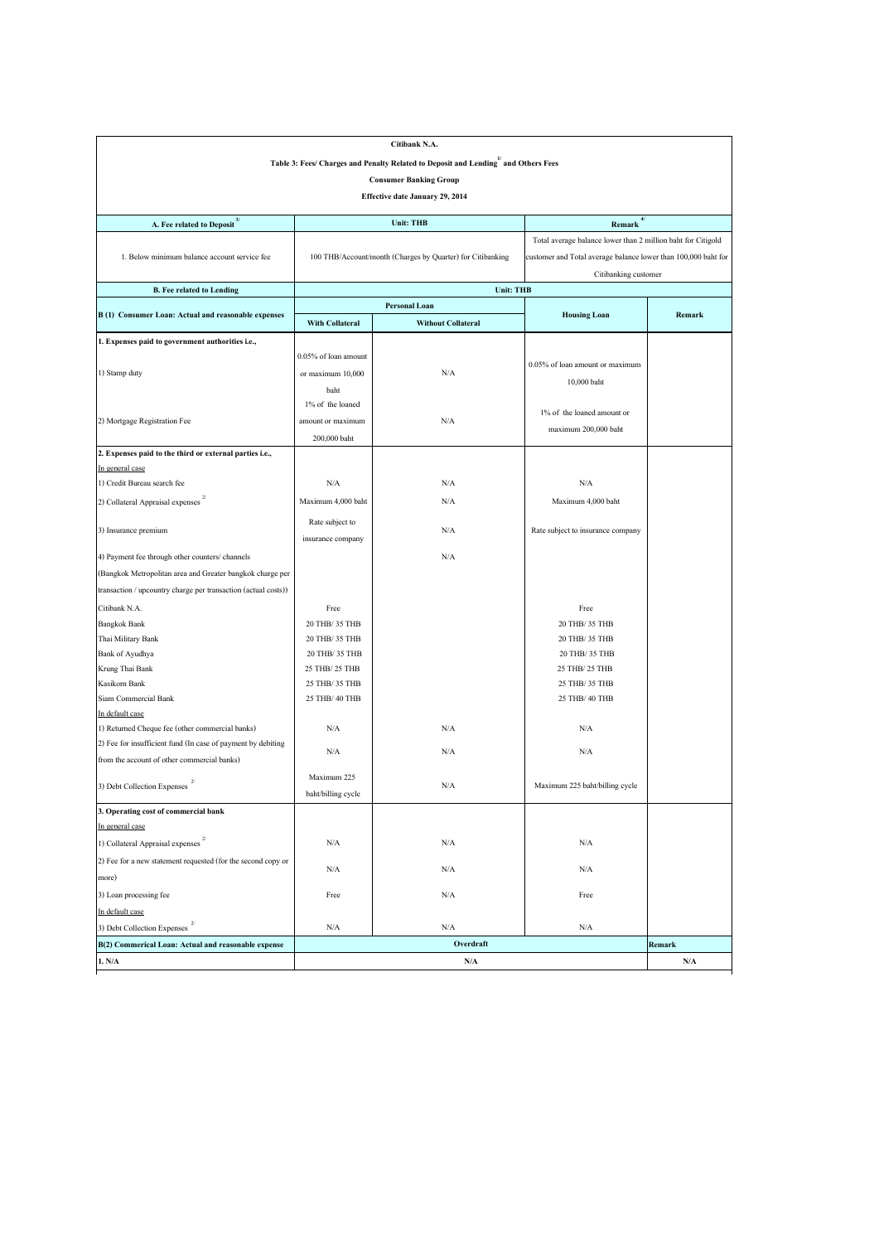|                                                                                    |                        | Citibank N.A.                                                                                  |                                                                |               |
|------------------------------------------------------------------------------------|------------------------|------------------------------------------------------------------------------------------------|----------------------------------------------------------------|---------------|
|                                                                                    |                        | Table 3: Fees/ Charges and Penalty Related to Deposit and Lending <sup>1</sup> and Others Fees |                                                                |               |
|                                                                                    |                        | <b>Consumer Banking Group</b>                                                                  |                                                                |               |
|                                                                                    |                        | <b>Effective date January 29, 2014</b>                                                         |                                                                |               |
|                                                                                    |                        |                                                                                                |                                                                |               |
| <b>A. Fee related to Deposit</b> <sup>3/</sup>                                     |                        | <b>Unit: THB</b>                                                                               | $Remark$ <sup>4/</sup>                                         |               |
|                                                                                    |                        |                                                                                                | Total average balance lower than 2 million baht for Citigold   |               |
| 1. Below minimum balance account service fee                                       |                        | 100 THB/Account/month (Charges by Quarter) for Citibanking                                     | customer and Total average balance lower than 100,000 baht for |               |
|                                                                                    |                        |                                                                                                | Citibanking customer                                           |               |
| <b>B.</b> Fee related to Lending                                                   |                        | <b>Unit: THB</b>                                                                               |                                                                |               |
|                                                                                    |                        | <b>Personal Loan</b>                                                                           |                                                                |               |
| B (1) Consumer Loan: Actual and reasonable expenses                                | <b>With Collateral</b> | <b>Without Collateral</b>                                                                      | <b>Housing Loan</b>                                            | <b>Remark</b> |
| 1. Expenses paid to government authorities i.e.,                                   |                        |                                                                                                |                                                                |               |
|                                                                                    | 0.05% of loan amount   |                                                                                                |                                                                |               |
| 1) Stamp duty                                                                      | or maximum 10,000      | N/A                                                                                            | $0.05\%$ of loan amount or maximum                             |               |
|                                                                                    | baht                   |                                                                                                | 10,000 baht                                                    |               |
|                                                                                    | 1% of the loaned       |                                                                                                |                                                                |               |
|                                                                                    |                        | N/A                                                                                            | $1\%$ of the loaned amount or                                  |               |
| 2) Mortgage Registration Fee                                                       | amount or maximum      |                                                                                                | maximum 200,000 baht                                           |               |
|                                                                                    | 200,000 baht           |                                                                                                |                                                                |               |
| 2. Expenses paid to the third or external parties i.e.,                            |                        |                                                                                                |                                                                |               |
| In general case                                                                    |                        |                                                                                                |                                                                |               |
| 1) Credit Bureau search fee<br>2/                                                  | N/A                    | $\rm N/A$                                                                                      | N/A                                                            |               |
| 2) Collateral Appraisal expenses                                                   | Maximum 4,000 baht     | N/A                                                                                            | Maximum 4,000 baht                                             |               |
| 3) Insurance premium                                                               | Rate subject to        | N/A                                                                                            | Rate subject to insurance company                              |               |
|                                                                                    | insurance company      |                                                                                                |                                                                |               |
| 4) Payment fee through other counters/ channels                                    |                        | N/A                                                                                            |                                                                |               |
| (Bangkok Metropolitan area and Greater bangkok charge per                          |                        |                                                                                                |                                                                |               |
| transaction / upcountry charge per transaction (actual costs))                     |                        |                                                                                                |                                                                |               |
| Citibank N.A.                                                                      | Free                   |                                                                                                | Free                                                           |               |
| <b>Bangkok Bank</b>                                                                | 20 THB/ 35 THB         |                                                                                                | 20 THB/ 35 THB                                                 |               |
| Thai Military Bank                                                                 | 20 THB/ 35 THB         |                                                                                                | 20 THB/ 35 THB                                                 |               |
| <b>Bank of Ayudhya</b>                                                             | 20 THB/ 35 THB         |                                                                                                | 20 THB/ 35 THB                                                 |               |
| Krung Thai Bank                                                                    | 25 THB/ 25 THB         |                                                                                                | 25 THB/ 25 THB                                                 |               |
| Kasikorn Bank                                                                      | 25 THB/ 35 THB         |                                                                                                | 25 THB/ 35 THB                                                 |               |
| Siam Commercial Bank                                                               | 25 THB/ 40 THB         |                                                                                                | 25 THB/ 40 THB                                                 |               |
| In default case                                                                    |                        |                                                                                                |                                                                |               |
| 1) Returned Cheque fee (other commercial banks)                                    | N/A                    | N/A                                                                                            | N/A                                                            |               |
| (2) Fee for insufficient fund (In case of payment by debiting                      |                        |                                                                                                |                                                                |               |
| from the account of other commercial banks)                                        | N/A                    | N/A                                                                                            | N/A                                                            |               |
|                                                                                    | Maximum 225            |                                                                                                |                                                                |               |
| 3) Debt Collection Expenses                                                        | baht/billing cycle     | N/A                                                                                            | Maximum 225 baht/billing cycle                                 |               |
| 3. Operating cost of commercial bank                                               |                        |                                                                                                |                                                                |               |
| In general case                                                                    |                        |                                                                                                |                                                                |               |
| 2/                                                                                 |                        |                                                                                                |                                                                |               |
| 1) Collateral Appraisal expenses                                                   | N/A                    | N/A                                                                                            | N/A                                                            |               |
| (2) Fee for a new statement requested (for the second copy or                      | N/A                    | N/A                                                                                            | N/A                                                            |               |
| more)                                                                              |                        | N/A                                                                                            | Free                                                           |               |
| 3) Loan processing fee                                                             | Free                   |                                                                                                |                                                                |               |
| In default case<br>2/                                                              |                        |                                                                                                |                                                                |               |
| 3) Debt Collection Expenses<br>B(2) Commerical Loan: Actual and reasonable expense | N/A                    | N/A<br>Overdraft                                                                               | N/A                                                            | Remark        |
|                                                                                    |                        |                                                                                                |                                                                |               |
| 1. N/A                                                                             |                        | N/A                                                                                            |                                                                | N/A           |